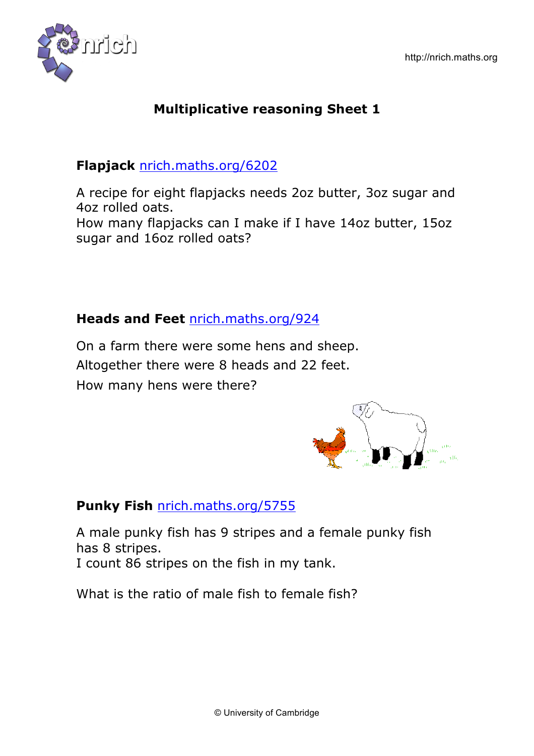

# **Flapjack** nrich.maths.org/6202

A recipe for eight flapjacks needs 2oz butter, 3oz sugar and 4oz rolled oats. How many flapjacks can I make if I have 14oz butter, 15oz

sugar and 16oz rolled oats?

### **Heads and Feet** nrich.maths.org/924

On a farm there were some hens and sheep. Altogether there were 8 heads and 22 feet. How many hens were there?



# **Punky Fish** nrich.maths.org/5755

A male punky fish has 9 stripes and a female punky fish has 8 stripes. I count 86 stripes on the fish in my tank.

What is the ratio of male fish to female fish?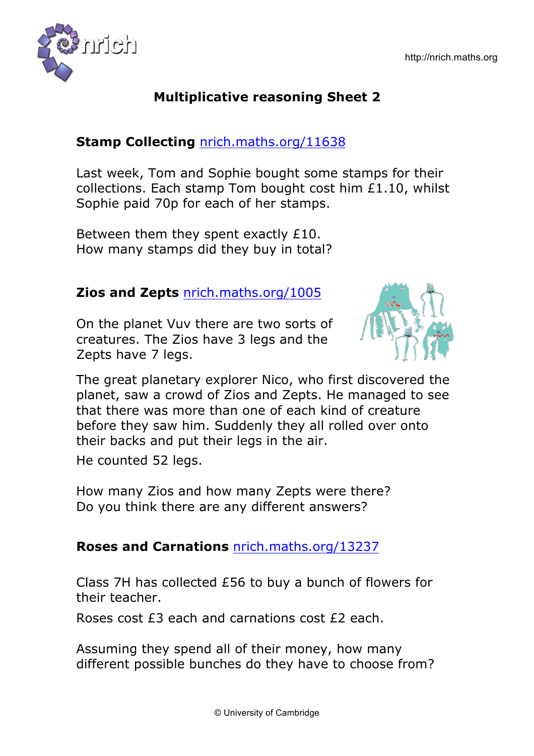

### **Stamp Collecting** nrich.maths.org/11638

Last week, Tom and Sophie bought some stamps for their collections. Each stamp Tom bought cost him £1.10, whilst Sophie paid 70p for each of her stamps.

Between them they spent exactly £10. How many stamps did they buy in total?

#### **Zios and Zepts** nrich.maths.org/1005

On the planet Vuv there are two sorts of creatures. The Zios have 3 legs and the Zepts have 7 legs.



The great planetary explorer Nico, who first discovered the planet, saw a crowd of Zios and Zepts. He managed to see that there was more than one of each kind of creature before they saw him. Suddenly they all rolled over onto their backs and put their legs in the air.

He counted 52 legs.

How many Zios and how many Zepts were there? Do you think there are any different answers?

### **Roses and Carnations** nrich.maths.org/13237

Class 7H has collected £56 to buy a bunch of flowers for their teacher.

Roses cost £3 each and carnations cost £2 each.

Assuming they spend all of their money, how many different possible bunches do they have to choose from?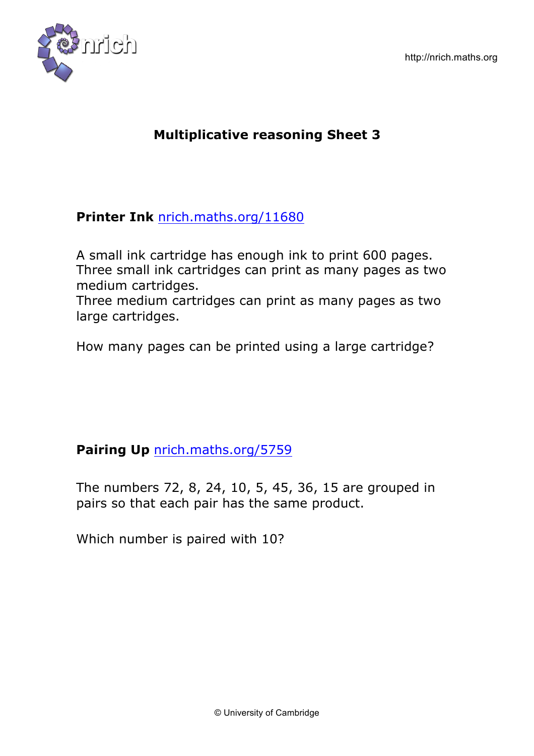

### **Printer Ink** nrich.maths.org/11680

A small ink cartridge has enough ink to print 600 pages. Three small ink cartridges can print as many pages as two medium cartridges.

Three medium cartridges can print as many pages as two large cartridges.

How many pages can be printed using a large cartridge?

### **Pairing Up** nrich.maths.org/5759

The numbers 72, 8, 24, 10, 5, 45, 36, 15 are grouped in pairs so that each pair has the same product.

Which number is paired with 10?